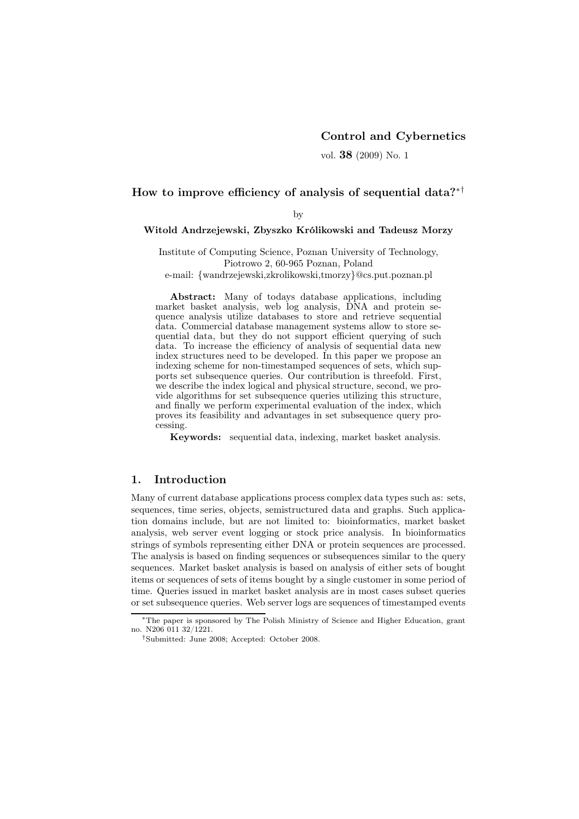# Control and Cybernetics

vol. 38 (2009) No. 1

# How to improve efficiency of analysis of sequential data?∗†

by

### Witold Andrzejewski, Zbyszko Królikowski and Tadeusz Morzy

Institute of Computing Science, Poznan University of Technology, Piotrowo 2, 60-965 Poznan, Poland

e-mail: {wandrzejewski,zkrolikowski,tmorzy}@cs.put.poznan.pl

Abstract: Many of todays database applications, including market basket analysis, web log analysis, DNA and protein sequence analysis utilize databases to store and retrieve sequential data. Commercial database management systems allow to store sequential data, but they do not support efficient querying of such data. To increase the efficiency of analysis of sequential data new index structures need to be developed. In this paper we propose an indexing scheme for non-timestamped sequences of sets, which supports set subsequence queries. Our contribution is threefold. First, we describe the index logical and physical structure, second, we provide algorithms for set subsequence queries utilizing this structure, and finally we perform experimental evaluation of the index, which proves its feasibility and advantages in set subsequence query processing.

Keywords: sequential data, indexing, market basket analysis.

# 1. Introduction

Many of current database applications process complex data types such as: sets, sequences, time series, objects, semistructured data and graphs. Such application domains include, but are not limited to: bioinformatics, market basket analysis, web server event logging or stock price analysis. In bioinformatics strings of symbols representing either DNA or protein sequences are processed. The analysis is based on finding sequences or subsequences similar to the query sequences. Market basket analysis is based on analysis of either sets of bought items or sequences of sets of items bought by a single customer in some period of time. Queries issued in market basket analysis are in most cases subset queries or set subsequence queries. Web server logs are sequences of timestamped events

<sup>∗</sup>The paper is sponsored by The Polish Ministry of Science and Higher Education, grant no. N206 011 32/1221.

<sup>†</sup>Submitted: June 2008; Accepted: October 2008.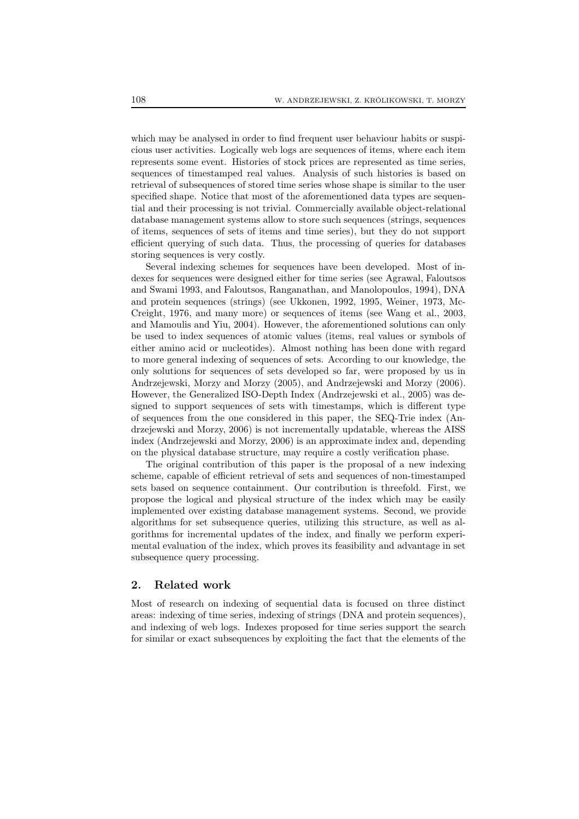which may be analysed in order to find frequent user behaviour habits or suspicious user activities. Logically web logs are sequences of items, where each item represents some event. Histories of stock prices are represented as time series, sequences of timestamped real values. Analysis of such histories is based on retrieval of subsequences of stored time series whose shape is similar to the user specified shape. Notice that most of the aforementioned data types are sequential and their processing is not trivial. Commercially available object-relational database management systems allow to store such sequences (strings, sequences of items, sequences of sets of items and time series), but they do not support efficient querying of such data. Thus, the processing of queries for databases storing sequences is very costly.

Several indexing schemes for sequences have been developed. Most of indexes for sequences were designed either for time series (see Agrawal, Faloutsos and Swami 1993, and Faloutsos, Ranganathan, and Manolopoulos, 1994), DNA and protein sequences (strings) (see Ukkonen, 1992, 1995, Weiner, 1973, Mc-Creight, 1976, and many more) or sequences of items (see Wang et al., 2003, and Mamoulis and Yiu, 2004). However, the aforementioned solutions can only be used to index sequences of atomic values (items, real values or symbols of either amino acid or nucleotides). Almost nothing has been done with regard to more general indexing of sequences of sets. According to our knowledge, the only solutions for sequences of sets developed so far, were proposed by us in Andrzejewski, Morzy and Morzy (2005), and Andrzejewski and Morzy (2006). However, the Generalized ISO-Depth Index (Andrzejewski et al., 2005) was designed to support sequences of sets with timestamps, which is different type of sequences from the one considered in this paper, the SEQ-Trie index (Andrzejewski and Morzy, 2006) is not incrementally updatable, whereas the AISS index (Andrzejewski and Morzy, 2006) is an approximate index and, depending on the physical database structure, may require a costly verification phase.

The original contribution of this paper is the proposal of a new indexing scheme, capable of efficient retrieval of sets and sequences of non-timestamped sets based on sequence containment. Our contribution is threefold. First, we propose the logical and physical structure of the index which may be easily implemented over existing database management systems. Second, we provide algorithms for set subsequence queries, utilizing this structure, as well as algorithms for incremental updates of the index, and finally we perform experimental evaluation of the index, which proves its feasibility and advantage in set subsequence query processing.

## 2. Related work

Most of research on indexing of sequential data is focused on three distinct areas: indexing of time series, indexing of strings (DNA and protein sequences), and indexing of web logs. Indexes proposed for time series support the search for similar or exact subsequences by exploiting the fact that the elements of the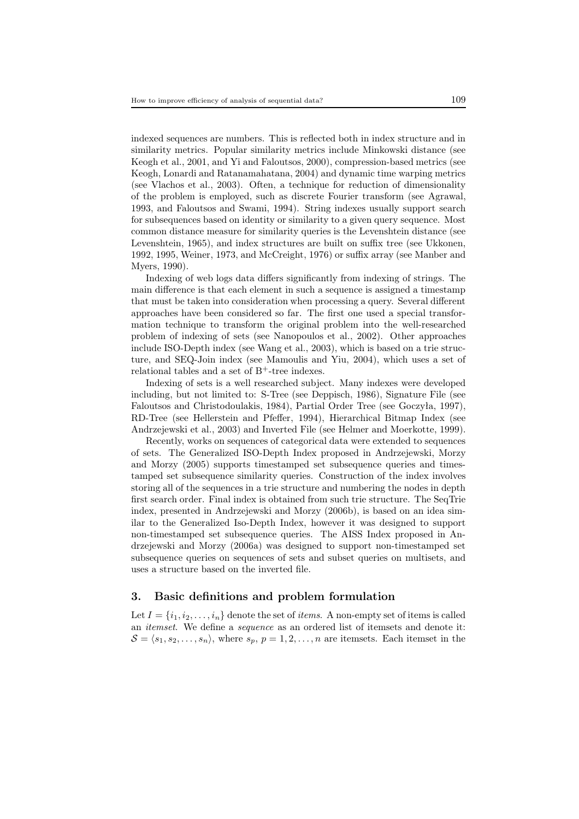indexed sequences are numbers. This is reflected both in index structure and in similarity metrics. Popular similarity metrics include Minkowski distance (see Keogh et al., 2001, and Yi and Faloutsos, 2000), compression-based metrics (see Keogh, Lonardi and Ratanamahatana, 2004) and dynamic time warping metrics (see Vlachos et al., 2003). Often, a technique for reduction of dimensionality of the problem is employed, such as discrete Fourier transform (see Agrawal, 1993, and Faloutsos and Swami, 1994). String indexes usually support search for subsequences based on identity or similarity to a given query sequence. Most common distance measure for similarity queries is the Levenshtein distance (see Levenshtein, 1965), and index structures are built on suffix tree (see Ukkonen, 1992, 1995, Weiner, 1973, and McCreight, 1976) or suffix array (see Manber and Myers, 1990).

Indexing of web logs data differs significantly from indexing of strings. The main difference is that each element in such a sequence is assigned a timestamp that must be taken into consideration when processing a query. Several different approaches have been considered so far. The first one used a special transformation technique to transform the original problem into the well-researched problem of indexing of sets (see Nanopoulos et al., 2002). Other approaches include ISO-Depth index (see Wang et al., 2003), which is based on a trie structure, and SEQ-Join index (see Mamoulis and Yiu, 2004), which uses a set of relational tables and a set of  $B^+$ -tree indexes.

Indexing of sets is a well researched subject. Many indexes were developed including, but not limited to: S-Tree (see Deppisch, 1986), Signature File (see Faloutsos and Christodoulakis, 1984), Partial Order Tree (see Goczyła, 1997), RD-Tree (see Hellerstein and Pfeffer, 1994), Hierarchical Bitmap Index (see Andrzejewski et al., 2003) and Inverted File (see Helmer and Moerkotte, 1999).

Recently, works on sequences of categorical data were extended to sequences of sets. The Generalized ISO-Depth Index proposed in Andrzejewski, Morzy and Morzy (2005) supports timestamped set subsequence queries and timestamped set subsequence similarity queries. Construction of the index involves storing all of the sequences in a trie structure and numbering the nodes in depth first search order. Final index is obtained from such trie structure. The SeqTrie index, presented in Andrzejewski and Morzy (2006b), is based on an idea similar to the Generalized Iso-Depth Index, however it was designed to support non-timestamped set subsequence queries. The AISS Index proposed in Andrzejewski and Morzy (2006a) was designed to support non-timestamped set subsequence queries on sequences of sets and subset queries on multisets, and uses a structure based on the inverted file.

# 3. Basic definitions and problem formulation

Let  $I = \{i_1, i_2, \ldots, i_n\}$  denote the set of *items*. A non-empty set of items is called an *itemset*. We define a *sequence* as an ordered list of itemsets and denote it:  $S = \langle s_1, s_2, \ldots, s_n \rangle$ , where  $s_p, p = 1, 2, \ldots, n$  are itemsets. Each itemset in the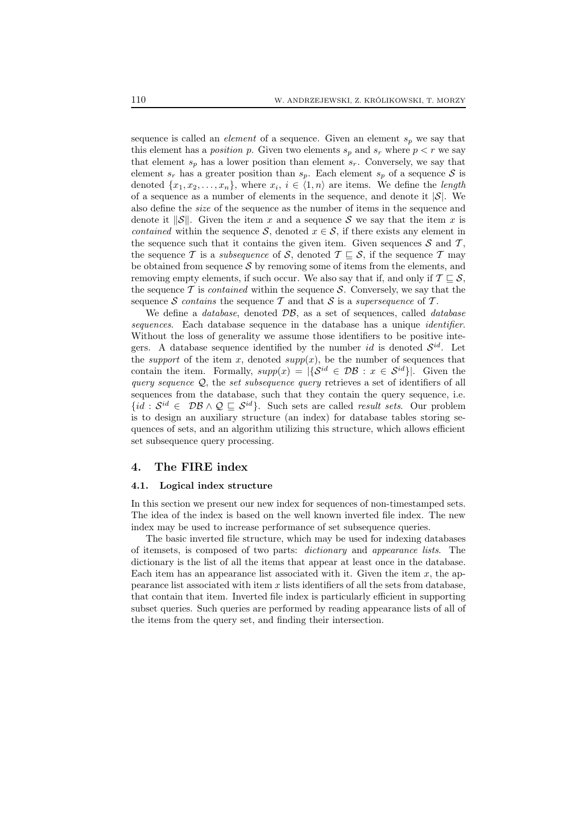sequence is called an *element* of a sequence. Given an element  $s_p$  we say that this element has a *position* p. Given two elements  $s_p$  and  $s_r$  where  $p < r$  we say that element  $s_p$  has a lower position than element  $s_r$ . Conversely, we say that element  $s_r$  has a greater position than  $s_p$ . Each element  $s_p$  of a sequence S is denoted  $\{x_1, x_2, \ldots, x_n\}$ , where  $x_i, i \in \langle 1, n \rangle$  are items. We define the *length* of a sequence as a number of elements in the sequence, and denote it  $|\mathcal{S}|$ . We also define the *size* of the sequence as the number of items in the sequence and denote it  $||S||$ . Given the item x and a sequence S we say that the item x is *contained* within the sequence S, denoted  $x \in S$ , if there exists any element in the sequence such that it contains the given item. Given sequences  $\mathcal S$  and  $\mathcal T$ , the sequence T is a *subsequence* of S, denoted  $T \subseteq S$ , if the sequence T may be obtained from sequence  $S$  by removing some of items from the elements, and removing empty elements, if such occur. We also say that if, and only if  $\mathcal{T} \sqsubseteq \mathcal{S}$ , the sequence  $\mathcal T$  is *contained* within the sequence  $\mathcal S$ . Conversely, we say that the sequence S *contains* the sequence T and that S is a *supersequence* of T.

We define a *database*, denoted DB, as a set of sequences, called *database sequences*. Each database sequence in the database has a unique *identifier*. Without the loss of generality we assume those identifiers to be positive integers. A database sequence identified by the number *id* is denoted  $S^{id}$ . Let the *support* of the item x, denoted  $supp(x)$ , be the number of sequences that contain the item. Formally,  $supp(x) = |\{S^{id} \in \mathcal{DB} : x \in S^{id}\}|$ . Given the *query sequence* Q, the *set subsequence query* retrieves a set of identifiers of all sequences from the database, such that they contain the query sequence, i.e.  ${id}: S^{id} \in \mathcal{DB} \wedge \mathcal{Q} \subseteq S^{id}$ . Such sets are called *result sets*. Our problem is to design an auxiliary structure (an index) for database tables storing sequences of sets, and an algorithm utilizing this structure, which allows efficient set subsequence query processing.

# 4. The FIRE index

#### 4.1. Logical index structure

In this section we present our new index for sequences of non-timestamped sets. The idea of the index is based on the well known inverted file index. The new index may be used to increase performance of set subsequence queries.

The basic inverted file structure, which may be used for indexing databases of itemsets, is composed of two parts: *dictionary* and *appearance lists*. The dictionary is the list of all the items that appear at least once in the database. Each item has an appearance list associated with it. Given the item  $x$ , the appearance list associated with item  $x$  lists identifiers of all the sets from database, that contain that item. Inverted file index is particularly efficient in supporting subset queries. Such queries are performed by reading appearance lists of all of the items from the query set, and finding their intersection.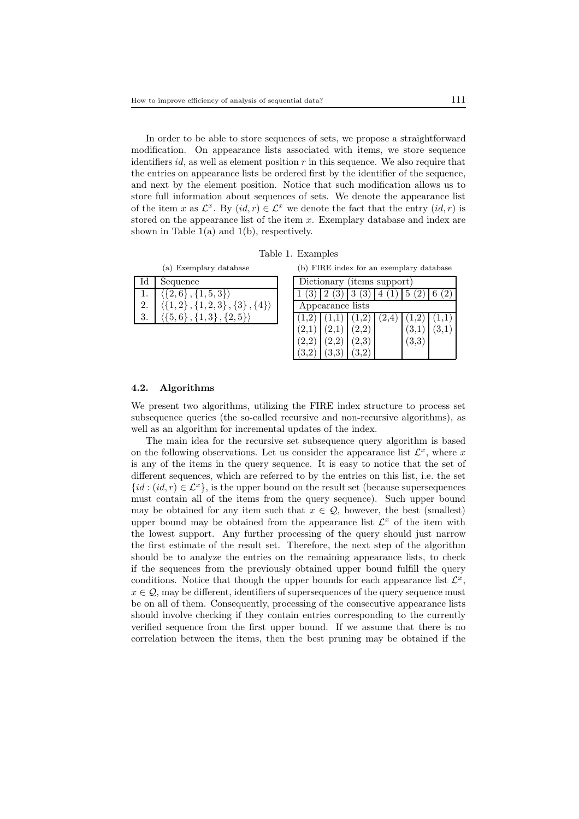In order to be able to store sequences of sets, we propose a straightforward modification. On appearance lists associated with items, we store sequence identifiers id, as well as element position  $r$  in this sequence. We also require that the entries on appearance lists be ordered first by the identifier of the sequence, and next by the element position. Notice that such modification allows us to store full information about sequences of sets. We denote the appearance list of the item x as  $\mathcal{L}^x$ . By  $(id,r) \in \mathcal{L}^x$  we denote the fact that the entry  $(id,r)$  is stored on the appearance list of the item  $x$ . Exemplary database and index are shown in Table  $1(a)$  and  $1(b)$ , respectively.

Table 1. Examples

| (a) Exemplary database |                                                                                             |  |  |  |  |
|------------------------|---------------------------------------------------------------------------------------------|--|--|--|--|
|                        | Id   Sequence                                                                               |  |  |  |  |
|                        | $\frac{\langle \{2,6\}, \{1,5,3\}\rangle}{\langle \{1,2\}, \{1,2,3\}, \{3\}, \{4\}\rangle}$ |  |  |  |  |
| 2.                     |                                                                                             |  |  |  |  |
|                        | $\langle \{5,6\}, \{1,3\}, \{2,5\} \rangle$                                                 |  |  |  |  |

(b) FIRE index for an exemplary database

| Dictionary (items support) |                                                 |       |  |       |       |  |  |  |
|----------------------------|-------------------------------------------------|-------|--|-------|-------|--|--|--|
|                            | $1(3)$ $2(3)$ $3(3)$ $4(1)$ $5(2)$ $6$          |       |  |       |       |  |  |  |
| Appearance lists           |                                                 |       |  |       |       |  |  |  |
|                            | $(1,2)$ $(1,1)$ $(1,2)$ $(2,4)$ $(1,2)$ $(1,1)$ |       |  |       |       |  |  |  |
|                            | $(2,1)$ $(2,1)$ $(2,2)$                         |       |  | (3,1) | (3,1) |  |  |  |
| (2,2)                      | (2,2)                                           | (2,3) |  | (3,3) |       |  |  |  |
|                            | (3,3)                                           |       |  |       |       |  |  |  |

## 4.2. Algorithms

We present two algorithms, utilizing the FIRE index structure to process set subsequence queries (the so-called recursive and non-recursive algorithms), as well as an algorithm for incremental updates of the index.

The main idea for the recursive set subsequence query algorithm is based on the following observations. Let us consider the appearance list  $\mathcal{L}^x$ , where x is any of the items in the query sequence. It is easy to notice that the set of different sequences, which are referred to by the entries on this list, i.e. the set  $\{id : (id, r) \in \mathcal{L}^x\}$ , is the upper bound on the result set (because supersequences must contain all of the items from the query sequence). Such upper bound may be obtained for any item such that  $x \in \mathcal{Q}$ , however, the best (smallest) upper bound may be obtained from the appearance list  $\mathcal{L}^x$  of the item with the lowest support. Any further processing of the query should just narrow the first estimate of the result set. Therefore, the next step of the algorithm should be to analyze the entries on the remaining appearance lists, to check if the sequences from the previously obtained upper bound fulfill the query conditions. Notice that though the upper bounds for each appearance list  $\mathcal{L}^x$ ,  $x \in \mathcal{Q}$ , may be different, identifiers of supersequences of the query sequence must be on all of them. Consequently, processing of the consecutive appearance lists should involve checking if they contain entries corresponding to the currently verified sequence from the first upper bound. If we assume that there is no correlation between the items, then the best pruning may be obtained if the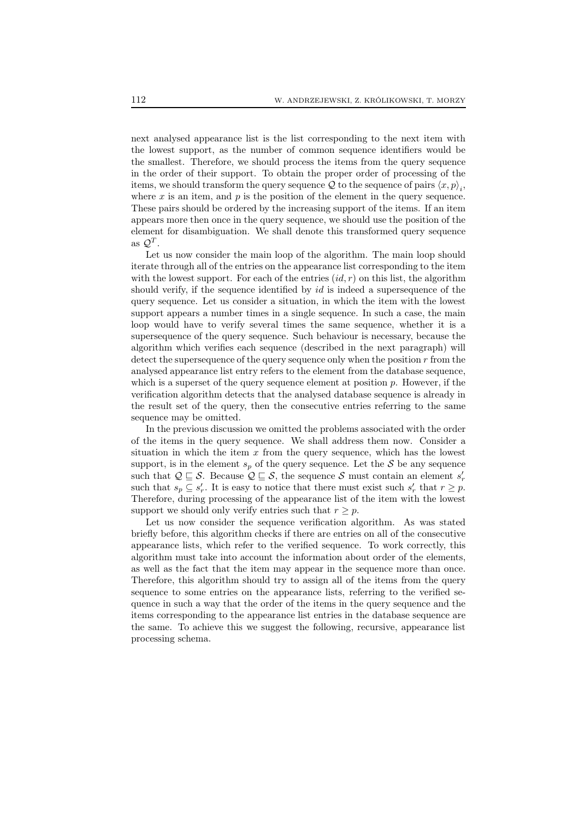next analysed appearance list is the list corresponding to the next item with the lowest support, as the number of common sequence identifiers would be the smallest. Therefore, we should process the items from the query sequence in the order of their support. To obtain the proper order of processing of the items, we should transform the query sequence  $\mathcal Q$  to the sequence of pairs  $\langle x, p \rangle_i$ , where  $x$  is an item, and  $p$  is the position of the element in the query sequence. These pairs should be ordered by the increasing support of the items. If an item appears more then once in the query sequence, we should use the position of the element for disambiguation. We shall denote this transformed query sequence as  $\mathcal{Q}^T$ .

Let us now consider the main loop of the algorithm. The main loop should iterate through all of the entries on the appearance list corresponding to the item with the lowest support. For each of the entries  $(id, r)$  on this list, the algorithm should verify, if the sequence identified by id is indeed a supersequence of the query sequence. Let us consider a situation, in which the item with the lowest support appears a number times in a single sequence. In such a case, the main loop would have to verify several times the same sequence, whether it is a supersequence of the query sequence. Such behaviour is necessary, because the algorithm which verifies each sequence (described in the next paragraph) will detect the supersequence of the query sequence only when the position  $r$  from the analysed appearance list entry refers to the element from the database sequence, which is a superset of the query sequence element at position  $p$ . However, if the verification algorithm detects that the analysed database sequence is already in the result set of the query, then the consecutive entries referring to the same sequence may be omitted.

In the previous discussion we omitted the problems associated with the order of the items in the query sequence. We shall address them now. Consider a situation in which the item  $x$  from the query sequence, which has the lowest support, is in the element  $s_p$  of the query sequence. Let the  $S$  be any sequence such that  $\mathcal{Q} \sqsubseteq \mathcal{S}$ . Because  $\mathcal{Q} \sqsubseteq \mathcal{S}$ , the sequence  $\mathcal{S}$  must contain an element  $s'_r$ such that  $s_p \subseteq s'_r$ . It is easy to notice that there must exist such  $s'_r$  that  $r \geq p$ . Therefore, during processing of the appearance list of the item with the lowest support we should only verify entries such that  $r > p$ .

Let us now consider the sequence verification algorithm. As was stated briefly before, this algorithm checks if there are entries on all of the consecutive appearance lists, which refer to the verified sequence. To work correctly, this algorithm must take into account the information about order of the elements, as well as the fact that the item may appear in the sequence more than once. Therefore, this algorithm should try to assign all of the items from the query sequence to some entries on the appearance lists, referring to the verified sequence in such a way that the order of the items in the query sequence and the items corresponding to the appearance list entries in the database sequence are the same. To achieve this we suggest the following, recursive, appearance list processing schema.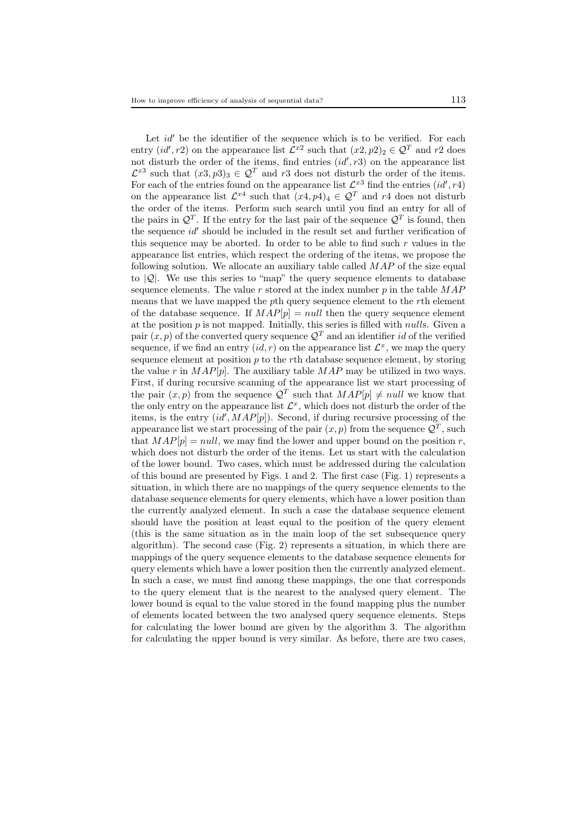Let  $id'$  be the identifier of the sequence which is to be verified. For each entry  $(id', r2)$  on the appearance list  $\mathcal{L}^{x2}$  such that  $(x2, p2)_2 \in \mathcal{Q}^T$  and  $r2$  does not disturb the order of the items, find entries  $(id', r3)$  on the appearance list  $\mathcal{L}^{x3}$  such that  $(x3, p3)_3 \in \mathcal{Q}^T$  and r3 does not disturb the order of the items. For each of the entries found on the appearance list  $\mathcal{L}^{x3}$  find the entries  $(id', r4)$ on the appearance list  $\mathcal{L}^{x4}$  such that  $(x4, p4)_4 \in \mathcal{Q}^T$  and  $r4$  does not disturb the order of the items. Perform such search until you find an entry for all of the pairs in  $\mathcal{Q}^T$ . If the entry for the last pair of the sequence  $\mathcal{Q}^T$  is found, then the sequence  $id'$  should be included in the result set and further verification of this sequence may be aborted. In order to be able to find such  $r$  values in the appearance list entries, which respect the ordering of the items, we propose the following solution. We allocate an auxiliary table called  $MAP$  of the size equal to  $|Q|$ . We use this series to "map" the query sequence elements to database sequence elements. The value  $r$  stored at the index number  $p$  in the table  $MAP$ means that we have mapped the pth query sequence element to the rth element of the database sequence. If  $MAP[p] = null$  then the query sequence element at the position  $p$  is not mapped. Initially, this series is filled with *nulls*. Given a pair  $(x, p)$  of the converted query sequence  $\mathcal{Q}^T$  and an identifier id of the verified sequence, if we find an entry  $(id, r)$  on the appearance list  $\mathcal{L}^x$ , we map the query sequence element at position  $p$  to the rth database sequence element, by storing the value r in  $MAP[p]$ . The auxiliary table  $MAP$  may be utilized in two ways. First, if during recursive scanning of the appearance list we start processing of the pair  $(x, p)$  from the sequence  $\mathcal{Q}^T$  such that  $MAP[p] \neq null$  we know that the only entry on the appearance list  $\mathcal{L}^x$ , which does not disturb the order of the items, is the entry  $(id', MAP[p])$ . Second, if during recursive processing of the appearance list we start processing of the pair  $(x, p)$  from the sequence  $\mathcal{Q}^T$ , such that  $MAP[p] = null$ , we may find the lower and upper bound on the position r, which does not disturb the order of the items. Let us start with the calculation of the lower bound. Two cases, which must be addressed during the calculation of this bound are presented by Figs. 1 and 2. The first case (Fig. 1) represents a situation, in which there are no mappings of the query sequence elements to the database sequence elements for query elements, which have a lower position than the currently analyzed element. In such a case the database sequence element should have the position at least equal to the position of the query element (this is the same situation as in the main loop of the set subsequence query algorithm). The second case (Fig. 2) represents a situation, in which there are mappings of the query sequence elements to the database sequence elements for query elements which have a lower position then the currently analyzed element. In such a case, we must find among these mappings, the one that corresponds to the query element that is the nearest to the analysed query element. The lower bound is equal to the value stored in the found mapping plus the number of elements located between the two analysed query sequence elements. Steps for calculating the lower bound are given by the algorithm 3. The algorithm for calculating the upper bound is very similar. As before, there are two cases,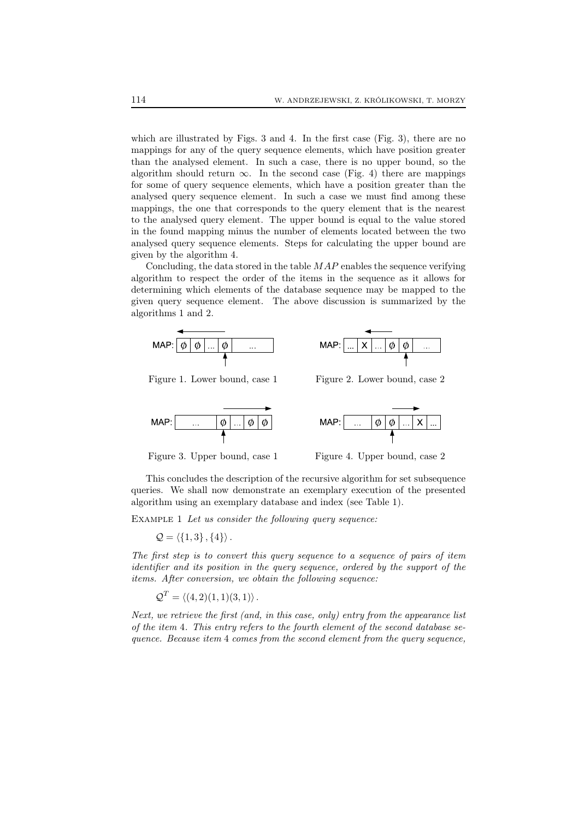which are illustrated by Figs. 3 and 4. In the first case (Fig. 3), there are no mappings for any of the query sequence elements, which have position greater than the analysed element. In such a case, there is no upper bound, so the algorithm should return  $\infty$ . In the second case (Fig. 4) there are mappings for some of query sequence elements, which have a position greater than the analysed query sequence element. In such a case we must find among these mappings, the one that corresponds to the query element that is the nearest to the analysed query element. The upper bound is equal to the value stored in the found mapping minus the number of elements located between the two analysed query sequence elements. Steps for calculating the upper bound are given by the algorithm 4.

Concluding, the data stored in the table  $MAP$  enables the sequence verifying algorithm to respect the order of the items in the sequence as it allows for determining which elements of the database sequence may be mapped to the given query sequence element. The above discussion is summarized by the algorithms 1 and 2.



Figure 1. Lower bound, case 1 Figure 2. Lower bound, case 2







Figure 3. Upper bound, case 1 Figure 4. Upper bound, case 2

This concludes the description of the recursive algorithm for set subsequence queries. We shall now demonstrate an exemplary execution of the presented algorithm using an exemplary database and index (see Table 1).

Example 1 *Let us consider the following query sequence:*

$$
\mathcal{Q} = \left\langle \{1,3\}, \{4\} \right\rangle.
$$

*The first step is to convert this query sequence to a sequence of pairs of item identifier and its position in the query sequence, ordered by the support of the items. After conversion, we obtain the following sequence:*

$$
\mathcal{Q}^T = \langle (4,2)(1,1)(3,1) \rangle.
$$

*Next, we retrieve the first (and, in this case, only) entry from the appearance list of the item* 4*. This entry refers to the fourth element of the second database sequence. Because item* 4 *comes from the second element from the query sequence,*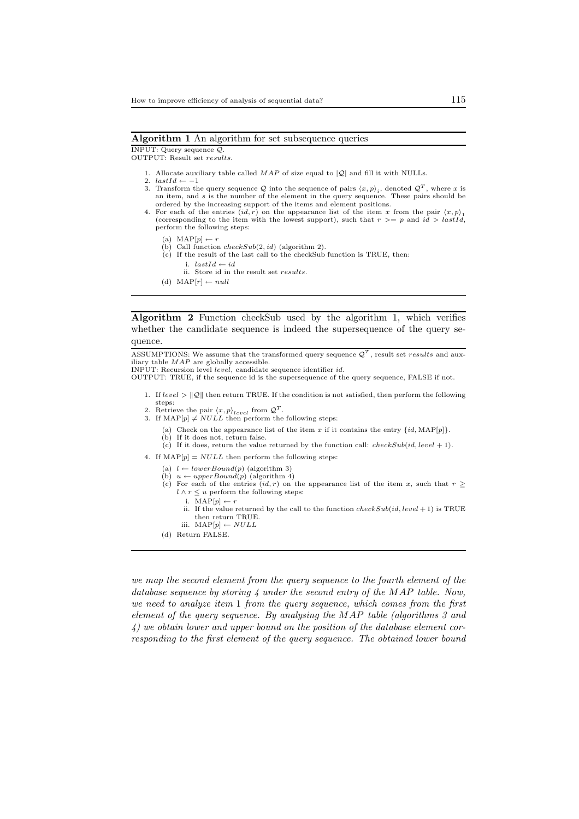#### Algorithm 1 An algorithm for set subsequence queries

INPUT: Query sequence Q.

OUTPUT: Result set results.

- 1. Allocate auxiliary table called  $MAP$  of size equal to  $|\mathcal{Q}|$  and fill it with NULLs.
- 2.  $lastId \leftarrow -1$
- 3. Transform the query sequence Q into the sequence of pairs  $\langle x, p \rangle_i$ , denoted  $\mathcal{Q}^T$ , where x is an item, and s is the number of the element in the query sequence. These pairs should be ordered by the increasing support of the items and element positions.
- 4. For each of the entries  $(id, r)$  on the appearance list of the item x from the pair  $\langle x, p \rangle_1$  (corresponding to the item with the lowest support), such that  $r \geq p$  and  $id \geq lastId$ , perform the following steps:
	- (a)  $\text{MAP}[p] \leftarrow r$
	-
	- (b) Call function  $checkSub(2, id)$  (algorithm 2).<br>(c) If the result of the last call to the checkSub function is TRUE, then:
		- i.  $lastId \leftarrow id$
		- ii. Store id in the result set results.
	- (d)  $MAP[r] \leftarrow null$

Algorithm 2 Function checkSub used by the algorithm 1, which verifies whether the candidate sequence is indeed the supersequence of the query sequence.

ASSUMPTIONS: We assume that the transformed query sequence  $\mathcal{Q}^T$ , result set results and auxiliary table MAP are globally accessible.

INPUT: Recursion level level, candidate sequence identifier id.

OUTPUT: TRUE, if the sequence id is the supersequence of the query sequence, FALSE if not.

- 1. If  $level > ||Q||$  then return TRUE. If the condition is not satisfied, then perform the following steps:
- 2. Retrieve the pair  $\langle x, p \rangle_{level}$  from  $\mathcal{Q}^T$ .<br>3. If MAP[p]  $\neq NULL$  then perform the following steps:
- - (a) Check on the appearance list of the item x if it contains the entry  $\{id, MAP[p]\}.$
	- (b) If it does not, return false.
	- (c) If it does, return the value returned by the function call: *checkSub(id, level* + 1).
- 4. If  $\text{MAP}[p] = NULL$  then perform the following steps:
	- (a)  $l \leftarrow lowerBound(p)$  (algorithm 3)
	- (b)  $u \leftarrow upperBound(p)$  (algorithm 4)
	- (c) For each of the entries  $(id, r)$  on the appearance list of the item x, such that  $r \geq$  $l \wedge r \leq u$  perform the following steps:
		- i.  $\text{MAP}[p] \leftarrow r$
		- ii. If the value returned by the call to the function  $checkSub(id, level + 1)$  is TRUE then return TRUE. iii.  $\text{MAP}[p] \leftarrow NULL$
	-
	- (d) Return FALSE.

*we map the second element from the query sequence to the fourth element of the database sequence by storing 4 under the second entry of the* MAP *table. Now, we need to analyze item* 1 *from the query sequence, which comes from the first element of the query sequence. By analysing the* MAP *table (algorithms 3 and 4) we obtain lower and upper bound on the position of the database element corresponding to the first element of the query sequence. The obtained lower bound*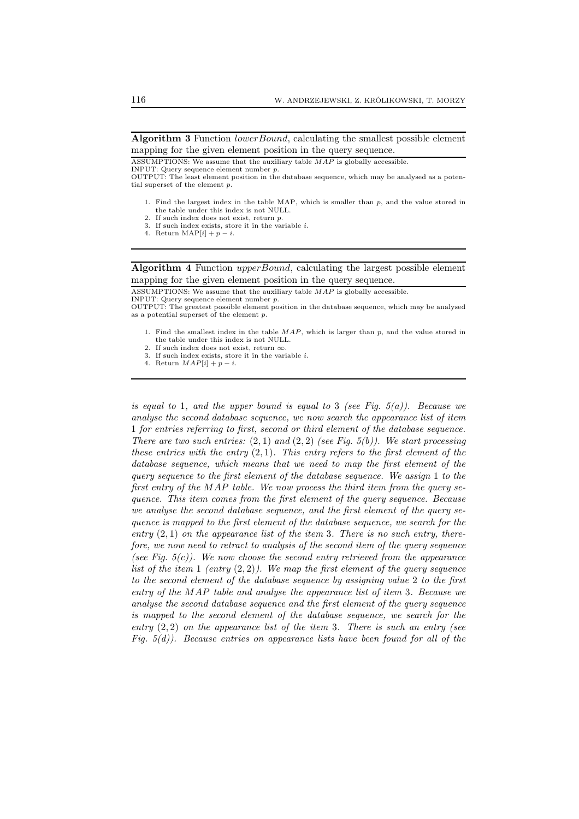Algorithm 3 Function *lowerBound*, calculating the smallest possible element mapping for the given element position in the query sequence.

ASSUMPTIONS: We assume that the auxiliary table MAP is globally accessible.

INPUT: Query sequence element number p.

- 1. Find the largest index in the table MAP, which is smaller than  $p$ , and the value stored in the table under this index is not NULL. 2. If such index does not exist, return p.
- 3. If such index exists, store it in the variable  $i$ .
- 4. Return MAP[i] +  $p i$ .

Algorithm 4 Function upperBound, calculating the largest possible element mapping for the given element position in the query sequence.

ASSUMPTIONS: We assume that the auxiliary table MAP is globally accessible.

INPUT: Query sequence element number p.

OUTPUT: The greatest possible element position in the database sequence, which may be analysed as a potential superset of the element p.

- 1. Find the smallest index in the table  $MAP$ , which is larger than  $p$ , and the value stored in the table under this index is not NULL.
- 2. If such index does not exist, return  $\infty$ .
- 3. If such index exists, store it in the variable  $i$ .
- 4. Return  $MAP[i] + p i$ .

*is equal to* 1*, and the upper bound is equal to* 3 *(see Fig. 5(a)). Because we analyse the second database sequence, we now search the appearance list of item* 1 *for entries referring to first, second or third element of the database sequence. There are two such entries:* (2, 1) *and* (2, 2) *(see Fig. 5(b)). We start processing these entries with the entry* (2, 1)*. This entry refers to the first element of the database sequence, which means that we need to map the first element of the query sequence to the first element of the database sequence. We assign* 1 *to the first entry of the* MAP *table. We now process the third item from the query sequence. This item comes from the first element of the query sequence. Because we analyse the second database sequence, and the first element of the query sequence is mapped to the first element of the database sequence, we search for the entry* (2, 1) *on the appearance list of the item* 3*. There is no such entry, therefore, we now need to retract to analysis of the second item of the query sequence (see Fig. 5(c)). We now choose the second entry retrieved from the appearance list of the item* 1 *(entry* (2, 2)*). We map the first element of the query sequence to the second element of the database sequence by assigning value* 2 *to the first entry of the* MAP *table and analyse the appearance list of item* 3*. Because we analyse the second database sequence and the first element of the query sequence is mapped to the second element of the database sequence, we search for the entry* (2, 2) *on the appearance list of the item* 3*. There is such an entry (see Fig. 5(d)). Because entries on appearance lists have been found for all of the*

OUTPUT: The least element position in the database sequence, which may be analysed as a potential superset of the element p.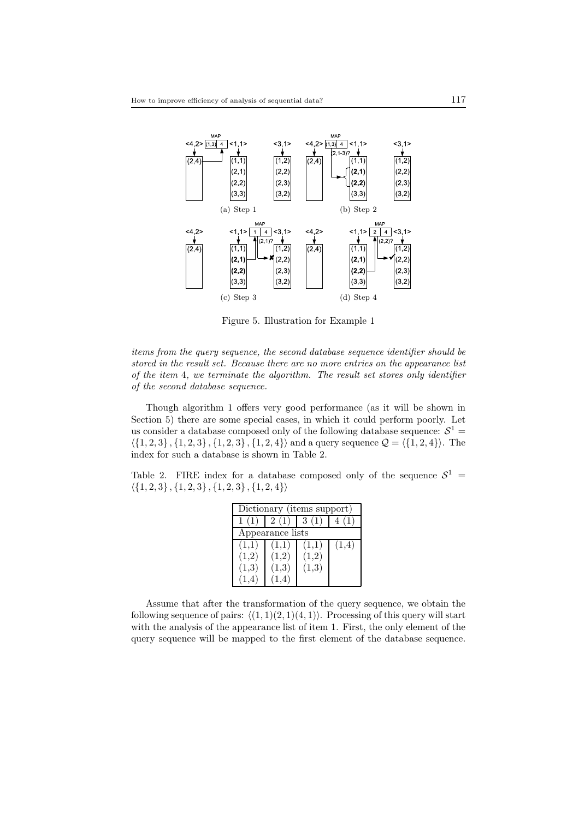

Figure 5. Illustration for Example 1

*items from the query sequence, the second database sequence identifier should be stored in the result set. Because there are no more entries on the appearance list of the item* 4*, we terminate the algorithm. The result set stores only identifier of the second database sequence.*

Though algorithm 1 offers very good performance (as it will be shown in Section 5) there are some special cases, in which it could perform poorly. Let us consider a database composed only of the following database sequence:  $\mathcal{S}^1$  =  $\{\{1, 2, 3\}, \{1, 2, 3\}, \{1, 2, 3\}, \{1, 2, 4\}\}\$  and a query sequence  $\mathcal{Q} = \{\{1, 2, 4\}\}\$ . The index for such a database is shown in Table 2.

Table 2. FIRE index for a database composed only of the sequence  $S^1$  =  $\langle \{1, 2, 3\}, \{1, 2, 3\}, \{1, 2, 3\}, \{1, 2, 4\}\rangle$ 

| Dictionary (items support) |       |       |       |  |  |  |  |
|----------------------------|-------|-------|-------|--|--|--|--|
| 1(1)                       | 2(1)  | 3(1)  | 4 (1) |  |  |  |  |
| Appearance lists           |       |       |       |  |  |  |  |
| (1,1)                      | (1,1) | (1,1) | (1,4) |  |  |  |  |
| (1,2)                      | (1,2) | (1,2) |       |  |  |  |  |
| (1,3)                      | (1,3) | (1,3) |       |  |  |  |  |
|                            |       |       |       |  |  |  |  |

Assume that after the transformation of the query sequence, we obtain the following sequence of pairs:  $\langle (1, 1)(2, 1)(4, 1) \rangle$ . Processing of this query will start with the analysis of the appearance list of item 1. First, the only element of the query sequence will be mapped to the first element of the database sequence.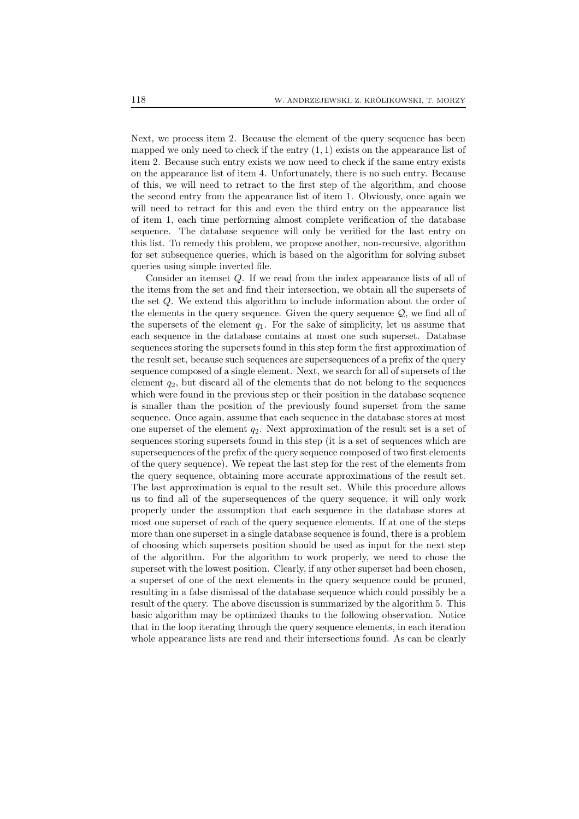Next, we process item 2. Because the element of the query sequence has been mapped we only need to check if the entry  $(1, 1)$  exists on the appearance list of item 2. Because such entry exists we now need to check if the same entry exists on the appearance list of item 4. Unfortunately, there is no such entry. Because of this, we will need to retract to the first step of the algorithm, and choose the second entry from the appearance list of item 1. Obviously, once again we will need to retract for this and even the third entry on the appearance list of item 1, each time performing almost complete verification of the database sequence. The database sequence will only be verified for the last entry on this list. To remedy this problem, we propose another, non-recursive, algorithm for set subsequence queries, which is based on the algorithm for solving subset queries using simple inverted file.

Consider an itemset Q. If we read from the index appearance lists of all of the items from the set and find their intersection, we obtain all the supersets of the set Q. We extend this algorithm to include information about the order of the elements in the query sequence. Given the query sequence  $Q$ , we find all of the supersets of the element  $q_1$ . For the sake of simplicity, let us assume that each sequence in the database contains at most one such superset. Database sequences storing the supersets found in this step form the first approximation of the result set, because such sequences are supersequences of a prefix of the query sequence composed of a single element. Next, we search for all of supersets of the element  $q_2$ , but discard all of the elements that do not belong to the sequences which were found in the previous step or their position in the database sequence is smaller than the position of the previously found superset from the same sequence. Once again, assume that each sequence in the database stores at most one superset of the element  $q_2$ . Next approximation of the result set is a set of sequences storing supersets found in this step (it is a set of sequences which are supersequences of the prefix of the query sequence composed of two first elements of the query sequence). We repeat the last step for the rest of the elements from the query sequence, obtaining more accurate approximations of the result set. The last approximation is equal to the result set. While this procedure allows us to find all of the supersequences of the query sequence, it will only work properly under the assumption that each sequence in the database stores at most one superset of each of the query sequence elements. If at one of the steps more than one superset in a single database sequence is found, there is a problem of choosing which supersets position should be used as input for the next step of the algorithm. For the algorithm to work properly, we need to chose the superset with the lowest position. Clearly, if any other superset had been chosen, a superset of one of the next elements in the query sequence could be pruned, resulting in a false dismissal of the database sequence which could possibly be a result of the query. The above discussion is summarized by the algorithm 5. This basic algorithm may be optimized thanks to the following observation. Notice that in the loop iterating through the query sequence elements, in each iteration whole appearance lists are read and their intersections found. As can be clearly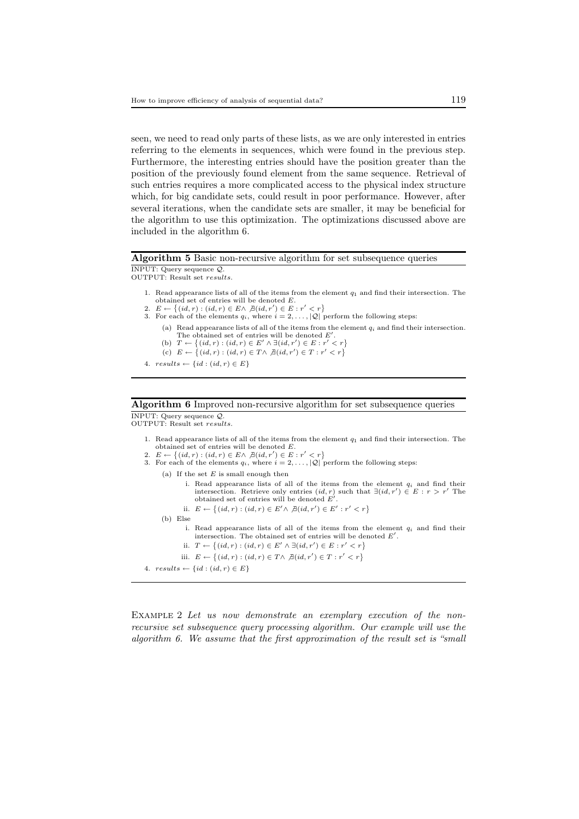seen, we need to read only parts of these lists, as we are only interested in entries referring to the elements in sequences, which were found in the previous step. Furthermore, the interesting entries should have the position greater than the position of the previously found element from the same sequence. Retrieval of such entries requires a more complicated access to the physical index structure which, for big candidate sets, could result in poor performance. However, after several iterations, when the candidate sets are smaller, it may be beneficial for the algorithm to use this optimization. The optimizations discussed above are included in the algorithm 6.

#### Algorithm 5 Basic non-recursive algorithm for set subsequence queries

INPUT: Query sequence Q. OUTPUT: Result set results.

- 1. Read appearance lists of all of the items from the element  $q_1$  and find their intersection. The obtained set of entries will be denoted E.
- 2.  $E \leftarrow \{(id, r) : (id, r) \in E \land \nexists (id, r') \in E : r' < r\}$
- 3. For each of the elements  $q_i$ , where  $i = 2, \ldots, |\mathcal{Q}|$  perform the following steps:
	- (a) Read appearance lists of all of the items from the element  $q_i$  and find their intersection. The obtained set of entries will be denoted E'.<br>
	(b)  $T \leftarrow \{(id, r) : (id, r) \in E' \land \exists (id, r') \in E : r' < r\}$
	- (c)  $E \leftarrow \{(id, r) : (id, r) \in T \land \nexists (id, r') \in T : r' < r\}$
- 4.  $results \leftarrow \{id : (id, r) \in E\}$

# Algorithm 6 Improved non-recursive algorithm for set subsequence queries

INPUT: Query sequence Q. OUTPUT: Result set results.

- 1. Read appearance lists of all of the items from the element  $q_1$  and find their intersection. The obtained set of entries will be denoted E.
- 2.  $E \leftarrow \{(id, r) : (id, r) \in E \land \nexists (id, r') \in E : r' < r\}$
- 3. For each of the elements  $q_i$ , where  $i = 2, \ldots, |\mathcal{Q}|$  perform the following steps: (a) If the set  $E$  is small enough then i. Read appearance lists of all of the items from the element  $q_i$  and find their intersection. Retrieve only entries  $(id, r)$  such that  $\exists (id, r') \in E : r > r'$  The obtained set of entries will be denoted E'. ii.  $E \leftarrow \{(id, r) : (id, r) \in E' \land \nexists (id, r') \in E' : r' < r\}$ (b) Else i. Read appearance lists of all of the items from the element  $q_i$  and find their intersection. The obtained set of entries will be denoted  $E'$ . ii.  $T \leftarrow \{(id, r) : (id, r) \in E' \land \exists (id, r') \in E : r' < r\}$ iii.  $E \leftarrow \{(id, r) : (id, r) \in T \land \nexists (id, r') \in T : r' < r\}$ 4.  $results \leftarrow \{id : (id, r) \in E\}$

EXAMPLE 2 Let us now demonstrate an exemplary execution of the non*recursive set subsequence query processing algorithm. Our example will use the algorithm 6. We assume that the first approximation of the result set is "small*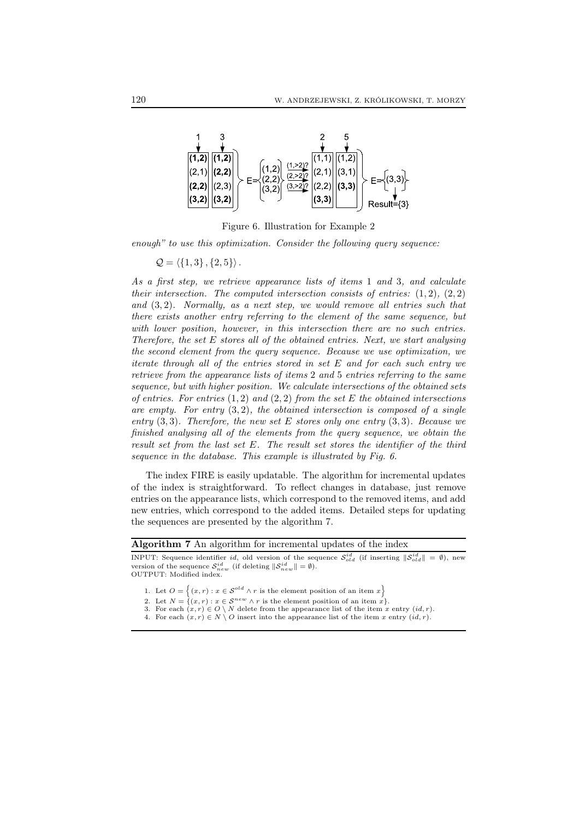

Figure 6. Illustration for Example 2

*enough" to use this optimization. Consider the following query sequence:*

 $Q = \langle {1, 3}, {2, 5} \rangle.$ 

*As a first step, we retrieve appearance lists of items* 1 *and* 3*, and calculate their intersection. The computed intersection consists of entries:*  $(1, 2)$ ,  $(2, 2)$ *and* (3, 2)*. Normally, as a next step, we would remove all entries such that there exists another entry referring to the element of the same sequence, but with lower position, however, in this intersection there are no such entries. Therefore, the set* E *stores all of the obtained entries. Next, we start analysing the second element from the query sequence. Because we use optimization, we iterate through all of the entries stored in set* E *and for each such entry we retrieve from the appearance lists of items* 2 *and* 5 *entries referring to the same sequence, but with higher position. We calculate intersections of the obtained sets of entries. For entries* (1, 2) *and* (2, 2) *from the set* E *the obtained intersections are empty. For entry* (3, 2)*, the obtained intersection is composed of a single entry* (3, 3)*. Therefore, the new set* E *stores only one entry* (3, 3)*. Because we finished analysing all of the elements from the query sequence, we obtain the result set from the last set* E*. The result set stores the identifier of the third sequence in the database. This example is illustrated by Fig. 6.*

The index FIRE is easily updatable. The algorithm for incremental updates of the index is straightforward. To reflect changes in database, just remove entries on the appearance lists, which correspond to the removed items, and add new entries, which correspond to the added items. Detailed steps for updating the sequences are presented by the algorithm 7.

|  |  | Algorithm 7 An algorithm for incremental updates of the index |  |  |
|--|--|---------------------------------------------------------------|--|--|
|  |  |                                                               |  |  |

INPUT: Sequence identifier id, old version of the sequence  $S_{old}^{id}$  (if inserting  $\|\mathcal{S}_{old}^{id}\| = \emptyset$ ), new version of the sequence  $S_{new}^{id}$  (if deleting  $\|\mathcal{S}_{new}^{id}\| = \emptyset$ ). OUTPUT: Modified index.

1. Let  $O = \{(x, r) : x \in S^{old} \land r \text{ is the element position of an item } x\}$ 

- 2. Let  $N = \{ (x, r) : x \in S^{new} \wedge r \text{ is the element position of an item } x \}.$
- 3. For each  $(x, r) \in O \setminus N$  delete from the appearance list of the item x entry  $(id, r)$ .
- 4. For each  $(x, r) \in N \setminus O$  insert into the appearance list of the item x entry  $(id, r)$ .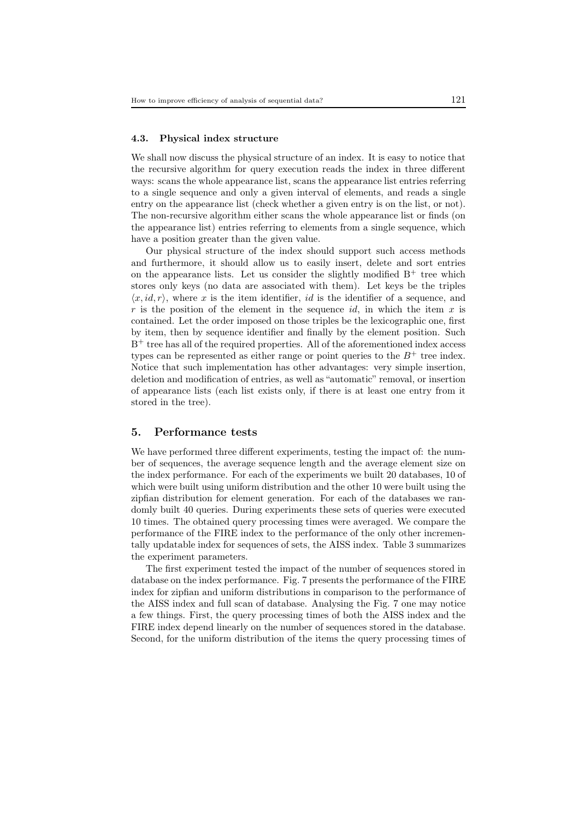#### 4.3. Physical index structure

We shall now discuss the physical structure of an index. It is easy to notice that the recursive algorithm for query execution reads the index in three different ways: scans the whole appearance list, scans the appearance list entries referring to a single sequence and only a given interval of elements, and reads a single entry on the appearance list (check whether a given entry is on the list, or not). The non-recursive algorithm either scans the whole appearance list or finds (on the appearance list) entries referring to elements from a single sequence, which have a position greater than the given value.

Our physical structure of the index should support such access methods and furthermore, it should allow us to easily insert, delete and sort entries on the appearance lists. Let us consider the slightly modified  $B^+$  tree which stores only keys (no data are associated with them). Let keys be the triples  $\langle x, id, r \rangle$ , where x is the item identifier, id is the identifier of a sequence, and r is the position of the element in the sequence  $id$ , in which the item x is contained. Let the order imposed on those triples be the lexicographic one, first by item, then by sequence identifier and finally by the element position. Such B <sup>+</sup> tree has all of the required properties. All of the aforementioned index access types can be represented as either range or point queries to the  $B^+$  tree index. Notice that such implementation has other advantages: very simple insertion, deletion and modification of entries, as well as "automatic" removal, or insertion of appearance lists (each list exists only, if there is at least one entry from it stored in the tree).

## 5. Performance tests

We have performed three different experiments, testing the impact of: the number of sequences, the average sequence length and the average element size on the index performance. For each of the experiments we built 20 databases, 10 of which were built using uniform distribution and the other 10 were built using the zipfian distribution for element generation. For each of the databases we randomly built 40 queries. During experiments these sets of queries were executed 10 times. The obtained query processing times were averaged. We compare the performance of the FIRE index to the performance of the only other incrementally updatable index for sequences of sets, the AISS index. Table 3 summarizes the experiment parameters.

The first experiment tested the impact of the number of sequences stored in database on the index performance. Fig. 7 presents the performance of the FIRE index for zipfian and uniform distributions in comparison to the performance of the AISS index and full scan of database. Analysing the Fig. 7 one may notice a few things. First, the query processing times of both the AISS index and the FIRE index depend linearly on the number of sequences stored in the database. Second, for the uniform distribution of the items the query processing times of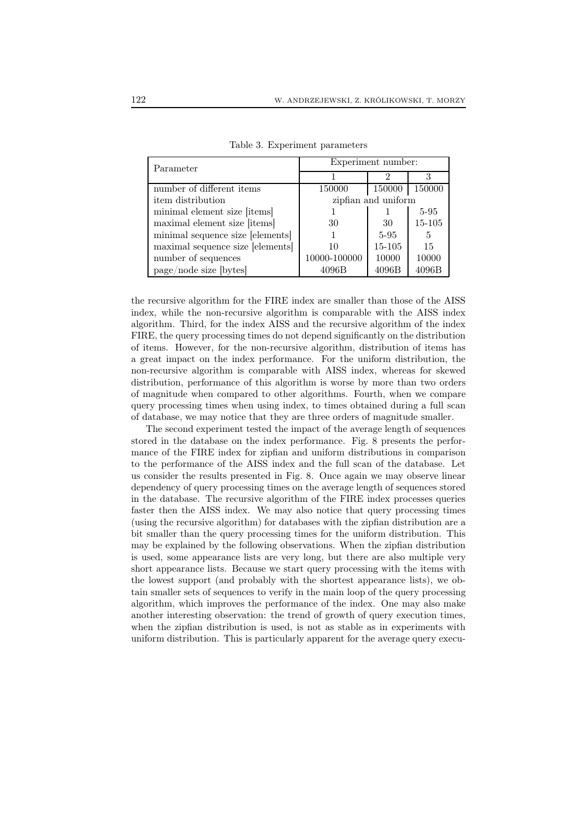| Parameter                        | Experiment number:  |          |        |  |
|----------------------------------|---------------------|----------|--------|--|
|                                  |                     |          |        |  |
| number of different items        | 150000              | 150000   | 150000 |  |
| item distribution                | zipfian and uniform |          |        |  |
| minimal element size [items]     |                     |          | 5-95   |  |
| maximal element size [items]     | 30                  | -30      | 15-105 |  |
| minimal sequence size [elements] |                     | $5 - 95$ | 5      |  |
| maximal sequence size [elements] | 10                  | 15-105   | 15     |  |
| number of sequences              | 10000-100000        | 10000    | 10000  |  |
| page/node size [bytes]           | 4096B               | 4096B    | 4096B  |  |

Table 3. Experiment parameters

the recursive algorithm for the FIRE index are smaller than those of the AISS index, while the non-recursive algorithm is comparable with the AISS index algorithm. Third, for the index AISS and the recursive algorithm of the index FIRE, the query processing times do not depend significantly on the distribution of items. However, for the non-recursive algorithm, distribution of items has a great impact on the index performance. For the uniform distribution, the non-recursive algorithm is comparable with AISS index, whereas for skewed distribution, performance of this algorithm is worse by more than two orders of magnitude when compared to other algorithms. Fourth, when we compare query processing times when using index, to times obtained during a full scan of database, we may notice that they are three orders of magnitude smaller.

The second experiment tested the impact of the average length of sequences stored in the database on the index performance. Fig. 8 presents the performance of the FIRE index for zipfian and uniform distributions in comparison to the performance of the AISS index and the full scan of the database. Let us consider the results presented in Fig. 8. Once again we may observe linear dependency of query processing times on the average length of sequences stored in the database. The recursive algorithm of the FIRE index processes queries faster then the AISS index. We may also notice that query processing times (using the recursive algorithm) for databases with the zipfian distribution are a bit smaller than the query processing times for the uniform distribution. This may be explained by the following observations. When the zipfian distribution is used, some appearance lists are very long, but there are also multiple very short appearance lists. Because we start query processing with the items with the lowest support (and probably with the shortest appearance lists), we obtain smaller sets of sequences to verify in the main loop of the query processing algorithm, which improves the performance of the index. One may also make another interesting observation: the trend of growth of query execution times, when the zipfian distribution is used, is not as stable as in experiments with uniform distribution. This is particularly apparent for the average query execu-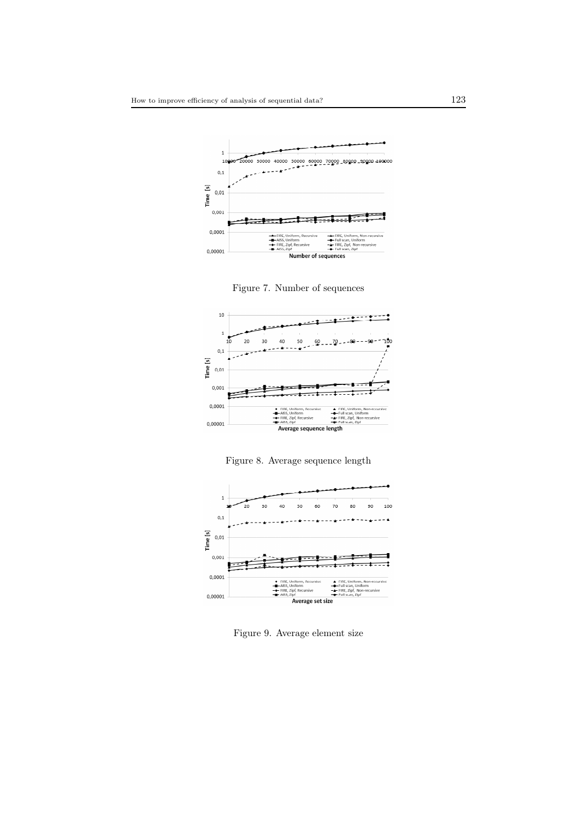





Figure 8. Average sequence length



Figure 9. Average element size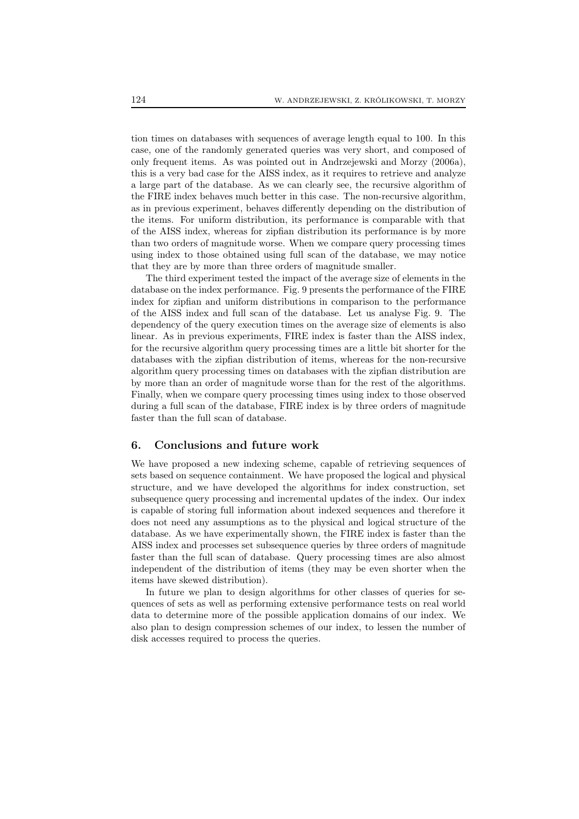tion times on databases with sequences of average length equal to 100. In this case, one of the randomly generated queries was very short, and composed of only frequent items. As was pointed out in Andrzejewski and Morzy (2006a), this is a very bad case for the AISS index, as it requires to retrieve and analyze a large part of the database. As we can clearly see, the recursive algorithm of the FIRE index behaves much better in this case. The non-recursive algorithm, as in previous experiment, behaves differently depending on the distribution of the items. For uniform distribution, its performance is comparable with that of the AISS index, whereas for zipfian distribution its performance is by more than two orders of magnitude worse. When we compare query processing times using index to those obtained using full scan of the database, we may notice that they are by more than three orders of magnitude smaller.

The third experiment tested the impact of the average size of elements in the database on the index performance. Fig. 9 presents the performance of the FIRE index for zipfian and uniform distributions in comparison to the performance of the AISS index and full scan of the database. Let us analyse Fig. 9. The dependency of the query execution times on the average size of elements is also linear. As in previous experiments, FIRE index is faster than the AISS index, for the recursive algorithm query processing times are a little bit shorter for the databases with the zipfian distribution of items, whereas for the non-recursive algorithm query processing times on databases with the zipfian distribution are by more than an order of magnitude worse than for the rest of the algorithms. Finally, when we compare query processing times using index to those observed during a full scan of the database, FIRE index is by three orders of magnitude faster than the full scan of database.

# 6. Conclusions and future work

We have proposed a new indexing scheme, capable of retrieving sequences of sets based on sequence containment. We have proposed the logical and physical structure, and we have developed the algorithms for index construction, set subsequence query processing and incremental updates of the index. Our index is capable of storing full information about indexed sequences and therefore it does not need any assumptions as to the physical and logical structure of the database. As we have experimentally shown, the FIRE index is faster than the AISS index and processes set subsequence queries by three orders of magnitude faster than the full scan of database. Query processing times are also almost independent of the distribution of items (they may be even shorter when the items have skewed distribution).

In future we plan to design algorithms for other classes of queries for sequences of sets as well as performing extensive performance tests on real world data to determine more of the possible application domains of our index. We also plan to design compression schemes of our index, to lessen the number of disk accesses required to process the queries.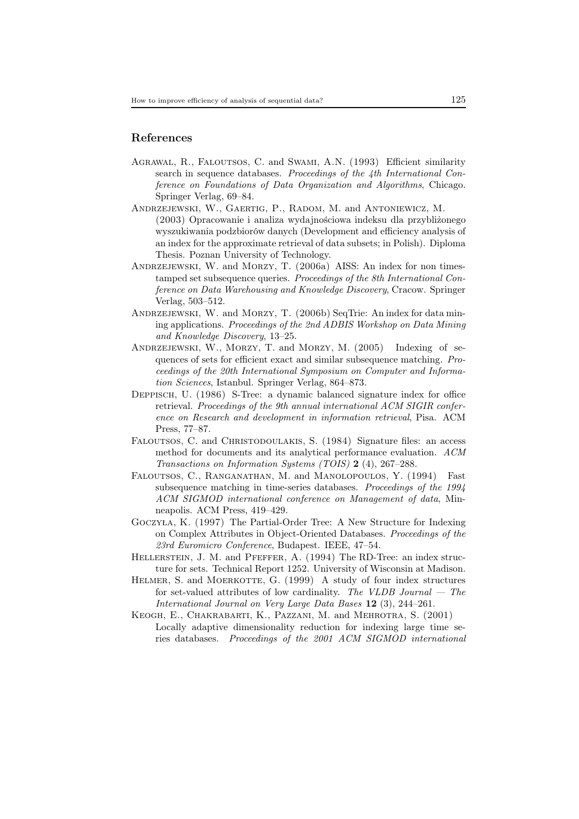# References

- AGRAWAL, R., FALOUTSOS, C. and SWAMI, A.N. (1993) Efficient similarity search in sequence databases. *Proceedings of the 4th International Conference on Foundations of Data Organization and Algorithms*, Chicago. Springer Verlag, 69–84.
- Andrzejewski, W., Gaertig, P., Radom, M. and Antoniewicz, M. (2003) Opracowanie i analiza wydajnościowa indeksu dla przybliżonego wyszukiwania podzbiorów danych (Development and efficiency analysis of an index for the approximate retrieval of data subsets; in Polish). Diploma Thesis. Poznan University of Technology.
- ANDRZEJEWSKI, W. and MORZY, T. (2006a) AISS: An index for non timestamped set subsequence queries. *Proceedings of the 8th International Conference on Data Warehousing and Knowledge Discovery*, Cracow. Springer Verlag, 503–512.
- ANDRZEJEWSKI, W. and MORZY, T. (2006b) SeqTrie: An index for data mining applications. *Proceedings of the 2nd ADBIS Workshop on Data Mining and Knowledge Discovery*, 13–25.
- ANDRZEJEWSKI, W., MORZY, T. and MORZY, M. (2005) Indexing of sequences of sets for efficient exact and similar subsequence matching. *Proceedings of the 20th International Symposium on Computer and Information Sciences*, Istanbul. Springer Verlag, 864–873.
- Deppisch, U. (1986) S-Tree: a dynamic balanced signature index for office retrieval. *Proceedings of the 9th annual international ACM SIGIR conference on Research and development in information retrieval*, Pisa. ACM Press, 77–87.
- FALOUTSOS, C. and CHRISTODOULAKIS, S. (1984) Signature files: an access method for documents and its analytical performance evaluation. *ACM Transactions on Information Systems (TOIS)* 2 (4), 267–288.
- Faloutsos, C., Ranganathan, M. and Manolopoulos, Y. (1994) Fast subsequence matching in time-series databases. *Proceedings of the 1994 ACM SIGMOD international conference on Management of data*, Minneapolis. ACM Press, 419–429.
- Goczyła, K. (1997) The Partial-Order Tree: A New Structure for Indexing on Complex Attributes in Object-Oriented Databases. *Proceedings of the 23rd Euromicro Conference*, Budapest. IEEE, 47–54.
- HELLERSTEIN, J. M. and PFEFFER, A. (1994) The RD-Tree: an index structure for sets. Technical Report 1252. University of Wisconsin at Madison.
- HELMER, S. and MOERKOTTE, G. (1999) A study of four index structures for set-valued attributes of low cardinality. *The VLDB Journal — The International Journal on Very Large Data Bases* 12 (3), 244–261.
- Keogh, E., Chakrabarti, K., Pazzani, M. and Mehrotra, S. (2001) Locally adaptive dimensionality reduction for indexing large time series databases. *Proceedings of the 2001 ACM SIGMOD international*